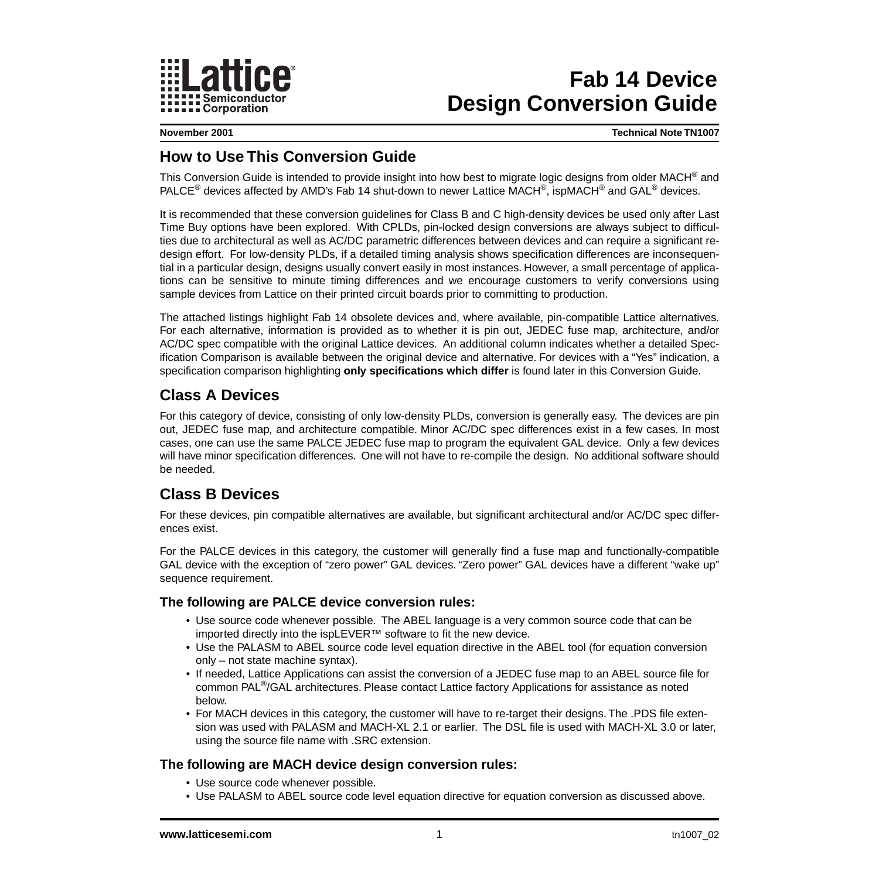

# **Fab 14 Device Design Conversion Guide**

**November 2001 Technical Note TN1007**

## **How to Use This Conversion Guide**

This Conversion Guide is intended to provide insight into how best to migrate logic designs from older MACH® and PALCE<sup>®</sup> devices affected by AMD's Fab 14 shut-down to newer Lattice MACH<sup>®</sup>, ispMACH<sup>®</sup> and GAL<sup>®</sup> devices.

It is recommended that these conversion guidelines for Class B and C high-density devices be used only after Last Time Buy options have been explored. With CPLDs, pin-locked design conversions are always subject to difficulties due to architectural as well as AC/DC parametric differences between devices and can require a significant redesign effort. For low-density PLDs, if a detailed timing analysis shows specification differences are inconsequential in a particular design, designs usually convert easily in most instances. However, a small percentage of applications can be sensitive to minute timing differences and we encourage customers to verify conversions using sample devices from Lattice on their printed circuit boards prior to committing to production.

The attached listings highlight Fab 14 obsolete devices and, where available, pin-compatible Lattice alternatives. For each alternative, information is provided as to whether it is pin out, JEDEC fuse map, architecture, and/or AC/DC spec compatible with the original Lattice devices. An additional column indicates whether a detailed Specification Comparison is available between the original device and alternative. For devices with a "Yes" indication, a specification comparison highlighting **only specifications which differ** is found later in this Conversion Guide.

## **Class A Devices**

For this category of device, consisting of only low-density PLDs, conversion is generally easy. The devices are pin out, JEDEC fuse map, and architecture compatible. Minor AC/DC spec differences exist in a few cases. In most cases, one can use the same PALCE JEDEC fuse map to program the equivalent GAL device. Only a few devices will have minor specification differences. One will not have to re-compile the design. No additional software should be needed.

### **Class B Devices**

For these devices, pin compatible alternatives are available, but significant architectural and/or AC/DC spec differences exist.

For the PALCE devices in this category, the customer will generally find a fuse map and functionally-compatible GAL device with the exception of "zero power" GAL devices. "Zero power" GAL devices have a different "wake up" sequence requirement.

### **The following are PALCE device conversion rules:**

- Use source code whenever possible. The ABEL language is a very common source code that can be imported directly into the ispLEVER™ software to fit the new device.
- Use the PALASM to ABEL source code level equation directive in the ABEL tool (for equation conversion only – not state machine syntax).
- If needed, Lattice Applications can assist the conversion of a JEDEC fuse map to an ABEL source file for common PAL®/GAL architectures. Please contact Lattice factory Applications for assistance as noted below.
- For MACH devices in this category, the customer will have to re-target their designs. The .PDS file extension was used with PALASM and MACH-XL 2.1 or earlier. The DSL file is used with MACH-XL 3.0 or later, using the source file name with .SRC extension.

### **The following are MACH device design conversion rules:**

- Use source code whenever possible.
- Use PALASM to ABEL source code level equation directive for equation conversion as discussed above.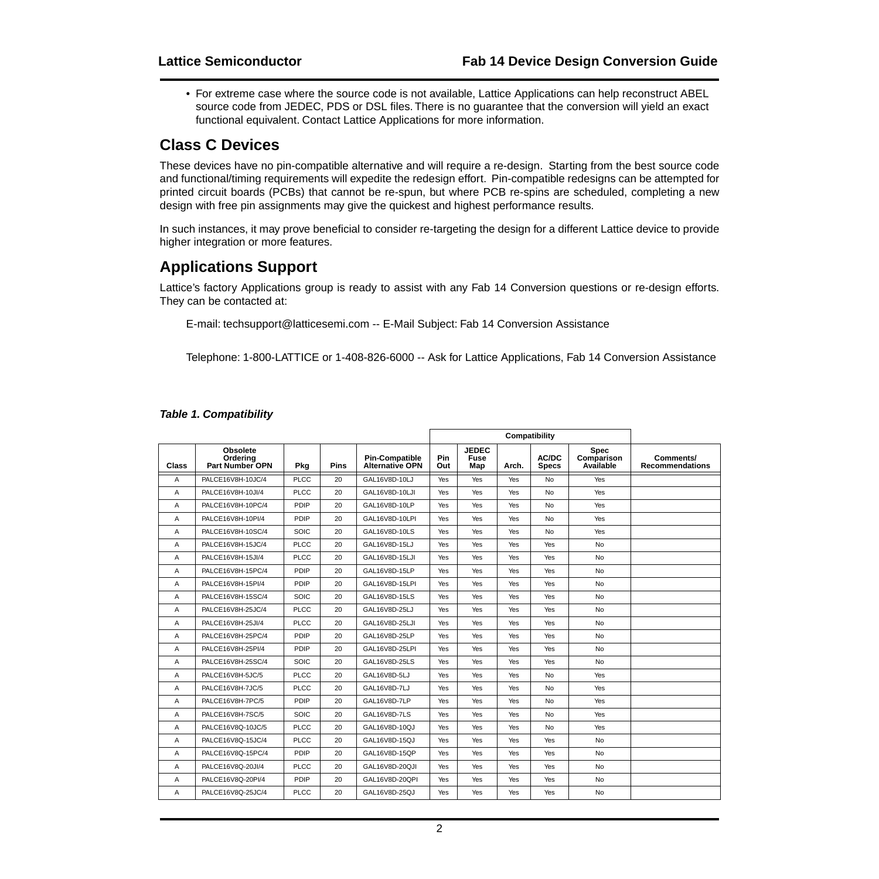• For extreme case where the source code is not available, Lattice Applications can help reconstruct ABEL source code from JEDEC, PDS or DSL files. There is no guarantee that the conversion will yield an exact functional equivalent. Contact Lattice Applications for more information.

### **Class C Devices**

These devices have no pin-compatible alternative and will require a re-design. Starting from the best source code and functional/timing requirements will expedite the redesign effort. Pin-compatible redesigns can be attempted for printed circuit boards (PCBs) that cannot be re-spun, but where PCB re-spins are scheduled, completing a new design with free pin assignments may give the quickest and highest performance results.

In such instances, it may prove beneficial to consider re-targeting the design for a different Lattice device to provide higher integration or more features.

## **Applications Support**

Lattice's factory Applications group is ready to assist with any Fab 14 Conversion questions or re-design efforts. They can be contacted at:

E-mail: techsupport@latticesemi.com -- E-Mail Subject: Fab 14 Conversion Assistance

Telephone: 1-800-LATTICE or 1-408-826-6000 -- Ask for Lattice Applications, Fab 14 Conversion Assistance

| Class | Obsolete<br>Ordering<br><b>Part Number OPN</b> | Pkg         | <b>Pins</b> | <b>Pin-Compatible</b><br><b>Alternative OPN</b> | Pin<br>Out | <b>JEDEC</b><br><b>Fuse</b><br>Map | Arch.      | AC/DC<br><b>Specs</b> | <b>Spec</b><br>Comparison<br>Available | Comments/<br><b>Recommendations</b> |
|-------|------------------------------------------------|-------------|-------------|-------------------------------------------------|------------|------------------------------------|------------|-----------------------|----------------------------------------|-------------------------------------|
| A     | PALCE16V8H-10JC/4                              | <b>PLCC</b> | 20          | GAL16V8D-10LJ                                   | Yes        | Yes                                | Yes        | No                    | Yes                                    |                                     |
| A     | PALCE16V8H-10JI/4                              | <b>PLCC</b> | 20          | GAL16V8D-10LJI                                  | Yes        | Yes                                | Yes        | <b>No</b>             | Yes                                    |                                     |
| A     | PALCE16V8H-10PC/4                              | PDIP        | 20          | GAL16V8D-10LP                                   | Yes        | Yes                                | Yes        | No                    | Yes                                    |                                     |
| A     | PALCE16V8H-10PI/4                              | PDIP        | 20          | GAL16V8D-10LPI                                  | <b>Yes</b> | Yes                                | <b>Yes</b> | <b>No</b>             | Yes                                    |                                     |
| Α     | PALCE16V8H-10SC/4                              | SOIC        | 20          | GAL16V8D-10LS                                   | Yes        | Yes                                | Yes        | No                    | Yes                                    |                                     |
| A     | PALCE16V8H-15JC/4                              | <b>PLCC</b> | 20          | GAL16V8D-15LJ                                   | Yes        | Yes                                | Yes        | Yes                   | <b>No</b>                              |                                     |
| Α     | PALCE16V8H-15JI/4                              | <b>PLCC</b> | 20          | GAL16V8D-15LJI                                  | Yes        | Yes                                | Yes        | Yes                   | <b>No</b>                              |                                     |
| Α     | PALCE16V8H-15PC/4                              | PDIP        | 20          | GAL16V8D-15LP                                   | Yes        | Yes                                | <b>Yes</b> | Yes                   | <b>No</b>                              |                                     |
| A     | PALCE16V8H-15PI/4                              | PDIP        | 20          | GAL16V8D-15LPI                                  | Yes        | Yes                                | Yes        | Yes                   | <b>No</b>                              |                                     |
| A     | PALCE16V8H-15SC/4                              | SOIC        | 20          | GAL16V8D-15LS                                   | Yes        | Yes                                | Yes        | Yes                   | <b>No</b>                              |                                     |
| Α     | PALCE16V8H-25JC/4                              | <b>PLCC</b> | 20          | GAL16V8D-25LJ                                   | Yes        | Yes                                | Yes        | Yes                   | <b>No</b>                              |                                     |
| Α     | PALCE16V8H-25JI/4                              | <b>PLCC</b> | 20          | GAL16V8D-25LJI                                  | Yes        | Yes                                | Yes        | Yes                   | <b>No</b>                              |                                     |
| A     | PALCE16V8H-25PC/4                              | PDIP        | 20          | GAL16V8D-25LP                                   | Yes        | Yes                                | Yes        | Yes                   | <b>No</b>                              |                                     |
| A     | PALCE16V8H-25PI/4                              | PDIP        | 20          | GAL16V8D-25LPI                                  | Yes        | Yes                                | Yes        | Yes                   | <b>No</b>                              |                                     |
| A     | PALCE16V8H-25SC/4                              | SOIC        | 20          | GAL16V8D-25LS                                   | Yes        | Yes                                | Yes        | Yes                   | <b>No</b>                              |                                     |
| Α     | PALCE16V8H-5JC/5                               | <b>PLCC</b> | 20          | GAL16V8D-5LJ                                    | Yes        | Yes                                | Yes        | <b>No</b>             | Yes                                    |                                     |
| A     | PALCE16V8H-7JC/5                               | <b>PLCC</b> | 20          | GAL16V8D-7LJ                                    | Yes        | Yes                                | Yes        | <b>No</b>             | Yes                                    |                                     |
| A     | PALCE16V8H-7PC/5                               | PDIP        | 20          | GAL16V8D-7LP                                    | Yes        | Yes                                | Yes        | <b>No</b>             | Yes                                    |                                     |
| A     | PALCE16V8H-7SC/5                               | SOIC        | 20          | GAL16V8D-7LS                                    | Yes        | Yes                                | Yes        | <b>No</b>             | Yes                                    |                                     |
| Α     | PALCE16V8Q-10JC/5                              | <b>PLCC</b> | 20          | GAL16V8D-10QJ                                   | Yes        | Yes                                | Yes        | No                    | Yes                                    |                                     |
| Α     | PALCE16V8Q-15JC/4                              | <b>PLCC</b> | 20          | GAL16V8D-15QJ                                   | Yes        | Yes                                | <b>Yes</b> | <b>Yes</b>            | <b>No</b>                              |                                     |
| A     | PALCE16V8Q-15PC/4                              | PDIP        | 20          | GAL16V8D-15QP                                   | Yes        | Yes                                | Yes        | Yes                   | <b>No</b>                              |                                     |
| A     | PALCE16V8Q-20JI/4                              | <b>PLCC</b> | 20          | GAL16V8D-20QJI                                  | Yes        | Yes                                | Yes        | Yes                   | <b>No</b>                              |                                     |
| A     | PALCE16V8Q-20PI/4                              | PDIP        | 20          | GAL16V8D-20QPI                                  | Yes        | Yes                                | Yes        | Yes                   | <b>No</b>                              |                                     |
| Α     | PALCE16V8Q-25JC/4                              | <b>PLCC</b> | 20          | GAL16V8D-25QJ                                   | Yes        | Yes                                | Yes        | Yes                   | <b>No</b>                              |                                     |

### **Table 1. Compatibility**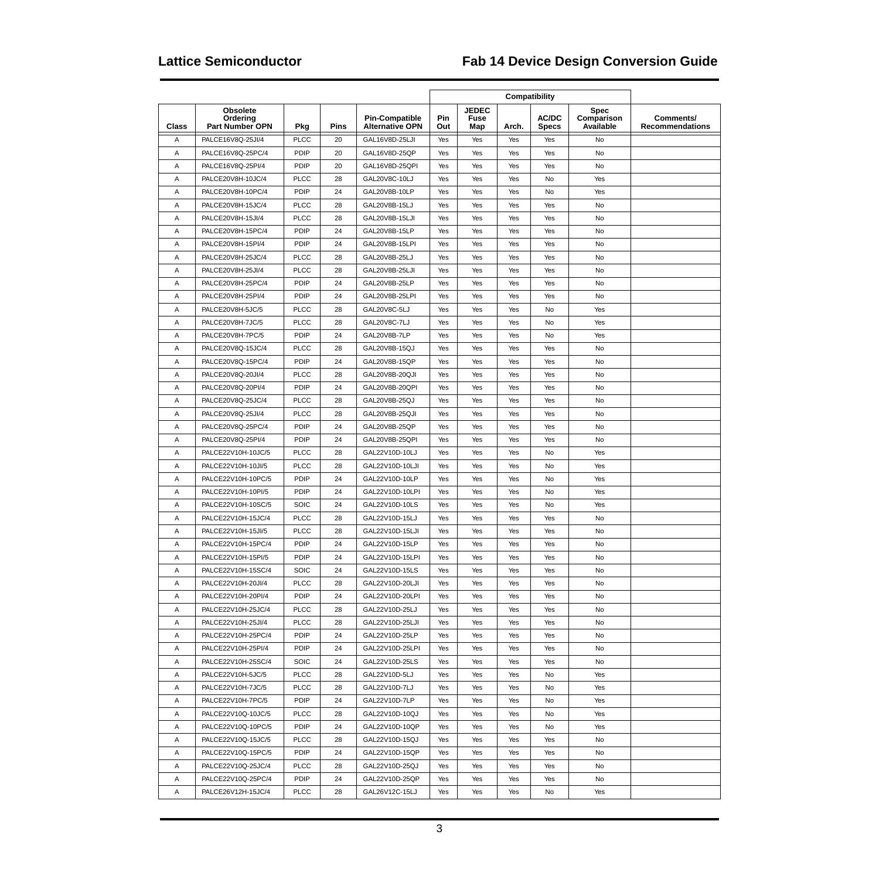| Class | <b>Obsolete</b><br>Ordering<br><b>Part Number OPN</b> | Pkg         | Pins | <b>Pin-Compatible</b><br><b>Alternative OPN</b> | Pin<br>Out | <b>JEDEC</b><br>Fuse<br>Map | Arch. | <b>AC/DC</b><br><b>Specs</b> | Spec<br>Comparison<br>Available | Comments/<br><b>Recommendations</b> |
|-------|-------------------------------------------------------|-------------|------|-------------------------------------------------|------------|-----------------------------|-------|------------------------------|---------------------------------|-------------------------------------|
| Α     | PALCE16V8Q-25JI/4                                     | <b>PLCC</b> | 20   | GAL16V8D-25LJI                                  | Yes        | Yes                         | Yes   | Yes                          | No                              |                                     |
| Α     | PALCE16V8Q-25PC/4                                     | PDIP        | 20   | GAL16V8D-25QP                                   | Yes        | Yes                         | Yes   | Yes                          | No                              |                                     |
| Α     | PALCE16V8Q-25PI/4                                     | PDIP        | 20   | GAL16V8D-25QPI                                  | Yes        | Yes                         | Yes   | Yes                          | No                              |                                     |
| Α     | PALCE20V8H-10JC/4                                     | <b>PLCC</b> | 28   | GAL20V8C-10LJ                                   | Yes        | Yes                         | Yes   | No                           | Yes                             |                                     |
| Α     | PALCE20V8H-10PC/4                                     | PDIP        | 24   | GAL20V8B-10LP                                   | Yes        | Yes                         | Yes   | No                           | Yes                             |                                     |
| Α     | PALCE20V8H-15JC/4                                     | <b>PLCC</b> | 28   | GAL20V8B-15LJ                                   | Yes        | Yes                         | Yes   | Yes                          | No                              |                                     |
| Α     | PALCE20V8H-15JI/4                                     | <b>PLCC</b> | 28   | GAL20V8B-15LJI                                  | Yes        | Yes                         | Yes   | Yes                          | No                              |                                     |
| Α     | PALCE20V8H-15PC/4                                     | PDIP        | 24   | GAL20V8B-15LP                                   | Yes        | Yes                         | Yes   | Yes                          | No                              |                                     |
| Α     | PALCE20V8H-15PI/4                                     | PDIP        | 24   | GAL20V8B-15LPI                                  | Yes        | Yes                         | Yes   | Yes                          | No                              |                                     |
| Α     | PALCE20V8H-25JC/4                                     | <b>PLCC</b> | 28   | GAL20V8B-25LJ                                   | Yes        | Yes                         | Yes   | Yes                          | No                              |                                     |
| Α     | PALCE20V8H-25JI/4                                     | <b>PLCC</b> | 28   | GAL20V8B-25LJI                                  | Yes        | Yes                         | Yes   | Yes                          | No                              |                                     |
| Α     | PALCE20V8H-25PC/4                                     | PDIP        | 24   | GAL20V8B-25LP                                   | Yes        | Yes                         | Yes   | Yes                          | No                              |                                     |
| Α     | PALCE20V8H-25PI/4                                     | PDIP        | 24   | GAL20V8B-25LPI                                  | Yes        | Yes                         | Yes   | Yes                          | No                              |                                     |
| Α     | PALCE20V8H-5JC/5                                      | <b>PLCC</b> | 28   | GAL20V8C-5LJ                                    | Yes        | Yes                         | Yes   | No                           | Yes                             |                                     |
| Α     | PALCE20V8H-7JC/5                                      | <b>PLCC</b> | 28   | GAL20V8C-7LJ                                    | Yes        | Yes                         | Yes   | No                           | Yes                             |                                     |
| Α     | PALCE20V8H-7PC/5                                      | PDIP        | 24   | GAL20V8B-7LP                                    | Yes        | Yes                         | Yes   | No                           | Yes                             |                                     |
| Α     | PALCE20V8Q-15JC/4                                     | <b>PLCC</b> | 28   | GAL20V8B-15QJ                                   | Yes        | Yes                         | Yes   | Yes                          | No                              |                                     |
| Α     | PALCE20V8Q-15PC/4                                     | PDIP        | 24   | GAL20V8B-15QP                                   | Yes        | Yes                         | Yes   | Yes                          | No                              |                                     |
| Α     | PALCE20V8Q-20JI/4                                     | <b>PLCC</b> | 28   | GAL20V8B-20QJI                                  | Yes        | Yes                         | Yes   | Yes                          | No                              |                                     |
| A     | PALCE20V8Q-20PI/4                                     | PDIP        | 24   | GAL20V8B-20QPI                                  | Yes        | Yes                         | Yes   | Yes                          | No                              |                                     |
|       |                                                       |             |      |                                                 |            |                             |       |                              |                                 |                                     |
| Α     | PALCE20V8Q-25JC/4                                     | <b>PLCC</b> | 28   | GAL20V8B-25QJ                                   | Yes        | Yes                         | Yes   | Yes                          | No                              |                                     |
| Α     | PALCE20V8Q-25JI/4                                     | <b>PLCC</b> | 28   | GAL20V8B-25QJI                                  | Yes        | Yes                         | Yes   | Yes                          | No                              |                                     |
| Α     | PALCE20V8Q-25PC/4                                     | PDIP        | 24   | GAL20V8B-25QP                                   | Yes        | Yes                         | Yes   | Yes                          | No                              |                                     |
| Α     | PALCE20V8Q-25PI/4                                     | PDIP        | 24   | GAL20V8B-25QPI                                  | Yes        | Yes                         | Yes   | Yes                          | No                              |                                     |
| Α     | PALCE22V10H-10JC/5                                    | <b>PLCC</b> | 28   | GAL22V10D-10LJ                                  | Yes        | Yes                         | Yes   | No                           | Yes                             |                                     |
| Α     | PALCE22V10H-10JI/5                                    | <b>PLCC</b> | 28   | GAL22V10D-10LJI                                 | Yes        | Yes                         | Yes   | No                           | Yes                             |                                     |
| Α     | PALCE22V10H-10PC/5                                    | PDIP        | 24   | GAL22V10D-10LP                                  | Yes        | Yes                         | Yes   | No                           | Yes                             |                                     |
| Α     | PALCE22V10H-10PI/5                                    | PDIP        | 24   | GAL22V10D-10LPI                                 | Yes        | Yes                         | Yes   | No                           | Yes                             |                                     |
| Α     | PALCE22V10H-10SC/5                                    | SOIC        | 24   | GAL22V10D-10LS                                  | Yes        | Yes                         | Yes   | No                           | Yes                             |                                     |
| Α     | PALCE22V10H-15JC/4                                    | <b>PLCC</b> | 28   | GAL22V10D-15LJ                                  | Yes        | Yes                         | Yes   | Yes                          | No                              |                                     |
| Α     | PALCE22V10H-15JI/5                                    | <b>PLCC</b> | 28   | GAL22V10D-15LJI                                 | Yes        | Yes                         | Yes   | Yes                          | No                              |                                     |
| Α     | PALCE22V10H-15PC/4                                    | PDIP        | 24   | GAL22V10D-15LP                                  | Yes        | Yes                         | Yes   | Yes                          | No                              |                                     |
| Α     | PALCE22V10H-15PI/5                                    | PDIP        | 24   | GAL22V10D-15LPI                                 | Yes        | Yes                         | Yes   | Yes                          | No                              |                                     |
| Α     | PALCE22V10H-15SC/4                                    | SOIC        | 24   | GAL22V10D-15LS                                  | Yes        | Yes                         | Yes   | Yes                          | No                              |                                     |
| Α     | PALCE22V10H-20JI/4                                    | PLCC        | 28   | GAL22V10D-20LJI                                 | Yes        | Yes                         | Yes   | Yes                          | No                              |                                     |
| Α     | PALCE22V10H-20PI/4                                    | <b>PDIP</b> | 24   | GAL22V10D-20LPI                                 | Yes        | Yes                         | Yes   | Yes                          | No                              |                                     |
| Α     | PALCE22V10H-25JC/4                                    | <b>PLCC</b> | 28   | GAL22V10D-25LJ                                  | Yes        | Yes                         | Yes   | Yes                          | No                              |                                     |
| Α     | PALCE22V10H-25JI/4                                    | <b>PLCC</b> | 28   | GAL22V10D-25LJI                                 | Yes        | Yes                         | Yes   | Yes                          | No                              |                                     |
| Α     | PALCE22V10H-25PC/4                                    | <b>PDIP</b> | 24   | GAL22V10D-25LP                                  | Yes        | Yes                         | Yes   | Yes                          | No                              |                                     |
| Α     | PALCE22V10H-25PI/4                                    | <b>PDIP</b> | 24   | GAL22V10D-25LPI                                 | Yes        | Yes                         | Yes   | Yes                          | No                              |                                     |
| Α     | PALCE22V10H-25SC/4                                    | SOIC        | 24   | GAL22V10D-25LS                                  | Yes        | Yes                         | Yes   | Yes                          | No                              |                                     |
| Α     | PALCE22V10H-5JC/5                                     | <b>PLCC</b> | 28   | GAL22V10D-5LJ                                   | Yes        | Yes                         | Yes   | No                           | Yes                             |                                     |
| Α     | PALCE22V10H-7JC/5                                     | <b>PLCC</b> | 28   | GAL22V10D-7LJ                                   | Yes        | Yes                         | Yes   | No                           | Yes                             |                                     |
| Α     | PALCE22V10H-7PC/5                                     | PDIP        | 24   | GAL22V10D-7LP                                   | Yes        | Yes                         | Yes   | No                           | Yes                             |                                     |
| Α     | PALCE22V10Q-10JC/5                                    | <b>PLCC</b> | 28   | GAL22V10D-10QJ                                  | Yes        | Yes                         | Yes   | No                           | Yes                             |                                     |
| Α     | PALCE22V10Q-10PC/5                                    | PDIP        | 24   | GAL22V10D-10QP                                  | Yes        | Yes                         | Yes   | No                           | Yes                             |                                     |
| Α     | PALCE22V10Q-15JC/5                                    | <b>PLCC</b> | 28   | GAL22V10D-15QJ                                  | Yes        | Yes                         | Yes   | Yes                          | No                              |                                     |
| Α     | PALCE22V10Q-15PC/5                                    | <b>PDIP</b> | 24   | GAL22V10D-15QP                                  | Yes        | Yes                         | Yes   | Yes                          | No                              |                                     |
| Α     | PALCE22V10Q-25JC/4                                    | <b>PLCC</b> | 28   | GAL22V10D-25QJ                                  | Yes        | Yes                         | Yes   | Yes                          | No                              |                                     |
| Α     | PALCE22V10Q-25PC/4                                    | PDIP        | 24   | GAL22V10D-25QP                                  | Yes        | Yes                         | Yes   | Yes                          | No                              |                                     |
| Α     | PALCE26V12H-15JC/4                                    | <b>PLCC</b> | 28   | GAL26V12C-15LJ                                  | Yes        |                             |       |                              |                                 |                                     |
|       |                                                       |             |      |                                                 |            | Yes                         | Yes   | No                           | Yes                             |                                     |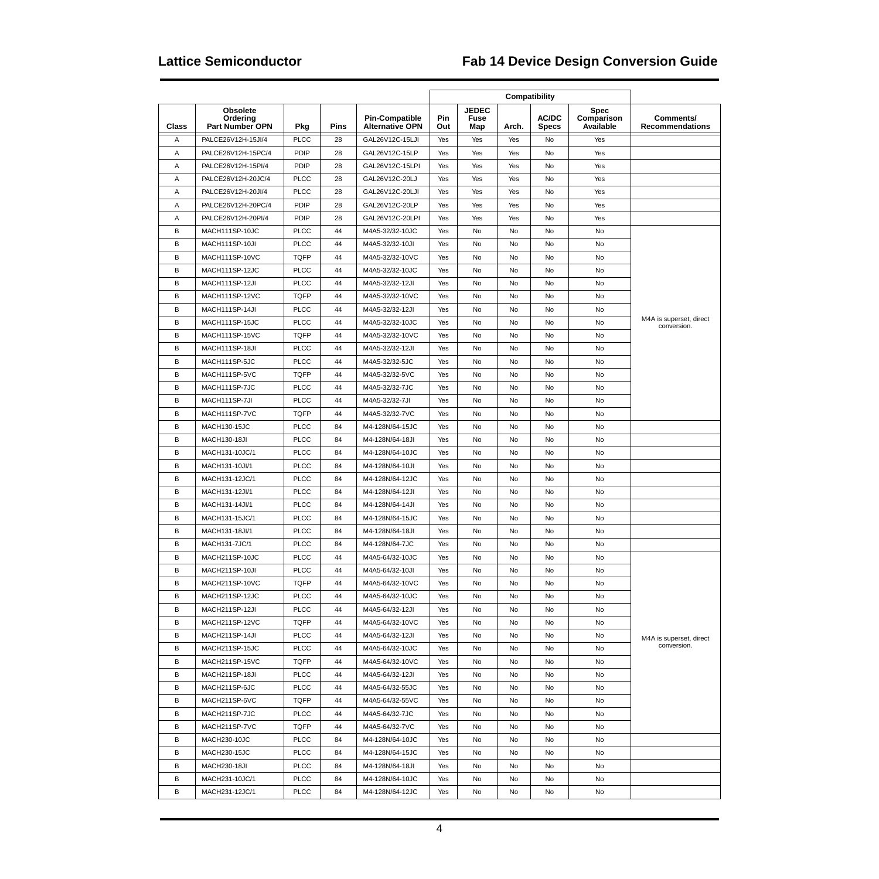| Class | <b>Obsolete</b><br>Ordering<br><b>Part Number OPN</b> | Pkg         | <b>Pins</b> | <b>Pin-Compatible</b><br><b>Alternative OPN</b> | Pin<br>Out | <b>JEDEC</b><br>Fuse<br>Map | Arch. | AC/DC<br><b>Specs</b> | <b>Spec</b><br>Comparison<br>Available | Comments/<br><b>Recommendations</b>    |
|-------|-------------------------------------------------------|-------------|-------------|-------------------------------------------------|------------|-----------------------------|-------|-----------------------|----------------------------------------|----------------------------------------|
| Α     | PALCE26V12H-15JI/4                                    | <b>PLCC</b> | 28          | GAL26V12C-15LJI                                 | Yes        | Yes                         | Yes   | No                    | Yes                                    |                                        |
| Α     | PALCE26V12H-15PC/4                                    | PDIP        | 28          | GAL26V12C-15LP                                  | Yes        | Yes                         | Yes   | No                    | Yes                                    |                                        |
| Α     | PALCE26V12H-15PI/4                                    | PDIP        | 28          | GAL26V12C-15LPI                                 | Yes        | Yes                         | Yes   | No                    | Yes                                    |                                        |
| Α     | PALCE26V12H-20JC/4                                    | <b>PLCC</b> | 28          | GAL26V12C-20LJ                                  | Yes        | Yes                         | Yes   | No                    | Yes                                    |                                        |
| Α     | PALCE26V12H-20JI/4                                    | <b>PLCC</b> | 28          | GAL26V12C-20LJI                                 | Yes        | Yes                         | Yes   | No                    | Yes                                    |                                        |
| Α     | PALCE26V12H-20PC/4                                    | PDIP        | 28          | GAL26V12C-20LP                                  | Yes        | Yes                         | Yes   | No                    | Yes                                    |                                        |
| Α     | PALCE26V12H-20PI/4                                    | PDIP        | 28          | GAL26V12C-20LPI                                 | Yes        | Yes                         | Yes   | No                    | Yes                                    |                                        |
| B     | MACH111SP-10JC                                        | <b>PLCC</b> | 44          | M4A5-32/32-10JC                                 | Yes        | No                          | No    | No                    | No                                     |                                        |
| B     | MACH111SP-10JI                                        | <b>PLCC</b> | 44          | M4A5-32/32-10JI                                 | Yes        | No                          | No    | No                    | No                                     |                                        |
| B     | MACH111SP-10VC                                        | <b>TQFP</b> | 44          | M4A5-32/32-10VC                                 | Yes        | No                          | No    | No                    | No                                     |                                        |
| B     | MACH111SP-12JC                                        | <b>PLCC</b> | 44          | M4A5-32/32-10JC                                 | Yes        | No                          | No    | No                    | No                                     |                                        |
| B     | MACH111SP-12JI                                        | <b>PLCC</b> | 44          | M4A5-32/32-12JI                                 | Yes        | No                          | No    | No                    | No                                     |                                        |
| B     | MACH111SP-12VC                                        | <b>TQFP</b> | 44          | M4A5-32/32-10VC                                 | Yes        | No                          | No    | No                    | No                                     |                                        |
| B     | MACH111SP-14JI                                        | <b>PLCC</b> | 44          | M4A5-32/32-12JI                                 | Yes        | No                          | No    | No                    | No                                     |                                        |
| B     | MACH111SP-15JC                                        | <b>PLCC</b> | 44          | M4A5-32/32-10JC                                 | Yes        | No                          | No    | No                    | No                                     | M4A is superset, direct                |
| B     | MACH111SP-15VC                                        | <b>TQFP</b> | 44          | M4A5-32/32-10VC                                 | Yes        | No                          | No    | No                    | No                                     | conversion.                            |
| B     | MACH111SP-18JI                                        | <b>PLCC</b> | 44          | M4A5-32/32-12JI                                 | Yes        | No                          | No    | No                    | No                                     |                                        |
| B     | MACH111SP-5JC                                         | <b>PLCC</b> | 44          | M4A5-32/32-5JC                                  | Yes        | No                          | No    | No                    | No                                     |                                        |
| B     | MACH111SP-5VC                                         | <b>TQFP</b> | 44          | M4A5-32/32-5VC                                  | Yes        | No                          | No    | No                    | No                                     |                                        |
| B     | MACH111SP-7JC                                         | <b>PLCC</b> | 44          | M4A5-32/32-7JC                                  | Yes        | No                          | No    | No                    | No                                     |                                        |
| B     | MACH111SP-7JI                                         | <b>PLCC</b> | 44          | M4A5-32/32-7JI                                  | Yes        | No                          | No    | No                    | No                                     |                                        |
| B     | MACH111SP-7VC                                         | <b>TQFP</b> | 44          | M4A5-32/32-7VC                                  | Yes        | No                          | No    | No                    | No                                     |                                        |
| B     | <b>MACH130-15JC</b>                                   | <b>PLCC</b> | 84          | M4-128N/64-15JC                                 | Yes        | No                          | No    | No                    | No                                     |                                        |
| B     | <b>MACH130-18JI</b>                                   | <b>PLCC</b> | 84          | M4-128N/64-18JI                                 | Yes        | No                          | No    | No                    | No                                     |                                        |
| B     | MACH131-10JC/1                                        | <b>PLCC</b> | 84          | M4-128N/64-10JC                                 | Yes        | No                          | No    | No                    | No                                     |                                        |
| B     | MACH131-10JI/1                                        | <b>PLCC</b> | 84          | M4-128N/64-10JI                                 | Yes        | No                          | No    | No                    | No                                     |                                        |
| B     | MACH131-12JC/1                                        | <b>PLCC</b> | 84          |                                                 | Yes        |                             | No    | No                    | No                                     |                                        |
| B     |                                                       | <b>PLCC</b> |             | M4-128N/64-12JC                                 |            | No                          |       | No                    | No                                     |                                        |
| B     | MACH131-12JI/1                                        | <b>PLCC</b> | 84          | M4-128N/64-12JI                                 | Yes        | No                          | No    |                       |                                        |                                        |
|       | MACH131-14JI/1                                        |             | 84          | M4-128N/64-14JI                                 | Yes        | No                          | No    | No                    | No                                     |                                        |
| B     | MACH131-15JC/1                                        | <b>PLCC</b> | 84          | M4-128N/64-15JC                                 | Yes        | No                          | No    | No                    | No                                     |                                        |
| B     | MACH131-18JI/1<br>MACH131-7JC/1                       | <b>PLCC</b> | 84          | M4-128N/64-18JI                                 | Yes        | No                          | No    | No                    | No                                     |                                        |
| B     |                                                       | <b>PLCC</b> | 84          | M4-128N/64-7JC                                  | Yes        | No                          | No    | No                    | No                                     |                                        |
| B     | MACH211SP-10JC                                        | <b>PLCC</b> | 44          | M4A5-64/32-10JC                                 | Yes        | No                          | No    | No                    | No                                     |                                        |
| В     | MACH211SP-10JI                                        | <b>PLCC</b> | 44          | M4A5-64/32-10JI                                 | Yes        | No                          | No    | No                    | No                                     |                                        |
| В     | MACH211SP-10VC                                        | <b>TQFP</b> | 44          | M4A5-64/32-10VC                                 | Yes        | No                          | No    | No                    | No                                     |                                        |
| В     | MACH211SP-12JC                                        | <b>PLCC</b> | 44          | M4A5-64/32-10JC                                 | Yes        | No                          | No    | No                    | No                                     |                                        |
| B     | MACH211SP-12JI                                        | <b>PLCC</b> | 44          | M4A5-64/32-12JI                                 | Yes        | No                          | No    | No                    | No                                     |                                        |
| в     | MACH211SP-12VC                                        | <b>TQFP</b> | 44          | M4A5-64/32-10VC                                 | Yes        | No                          | No    | No                    | No                                     |                                        |
| B     | MACH211SP-14JI                                        | <b>PLCC</b> | 44          | M4A5-64/32-12JI                                 | Yes        | No                          | No    | No                    | No                                     | M4A is superset, direct<br>conversion. |
| В     | MACH211SP-15JC                                        | <b>PLCC</b> | 44          | M4A5-64/32-10JC                                 | Yes        | No                          | No    | No                    | No                                     |                                        |
| В     | MACH211SP-15VC                                        | <b>TQFP</b> | 44          | M4A5-64/32-10VC                                 | Yes        | No                          | No    | No                    | No                                     |                                        |
| В     | MACH211SP-18JI                                        | <b>PLCC</b> | 44          | M4A5-64/32-12JI                                 | Yes        | No                          | No    | No                    | No                                     |                                        |
| B     | MACH211SP-6JC                                         | <b>PLCC</b> | 44          | M4A5-64/32-55JC                                 | Yes        | No                          | No    | No                    | No                                     |                                        |
| в     | MACH211SP-6VC                                         | <b>TQFP</b> | 44          | M4A5-64/32-55VC                                 | Yes        | No                          | No    | No                    | No                                     |                                        |
| В     | MACH211SP-7JC                                         | <b>PLCC</b> | 44          | M4A5-64/32-7JC                                  | Yes        | No                          | No    | No                    | No                                     |                                        |
| В     | MACH211SP-7VC                                         | <b>TQFP</b> | 44          | M4A5-64/32-7VC                                  | Yes        | No                          | No    | No                    | No                                     |                                        |
| В     | MACH230-10JC                                          | <b>PLCC</b> | 84          | M4-128N/64-10JC                                 | Yes        | No                          | No    | No                    | No                                     |                                        |
| В     | <b>MACH230-15JC</b>                                   | <b>PLCC</b> | 84          | M4-128N/64-15JC                                 | Yes        | No                          | No    | No                    | No                                     |                                        |
| В     | <b>MACH230-18JI</b>                                   | <b>PLCC</b> | 84          | M4-128N/64-18JI                                 | Yes        | No                          | No    | No                    | No                                     |                                        |
| B     | MACH231-10JC/1                                        | <b>PLCC</b> | 84          | M4-128N/64-10JC                                 | Yes        | No                          | No    | No                    | No                                     |                                        |
| В     | MACH231-12JC/1                                        | <b>PLCC</b> | 84          | M4-128N/64-12JC                                 | Yes        | No                          | No    | No                    | No                                     |                                        |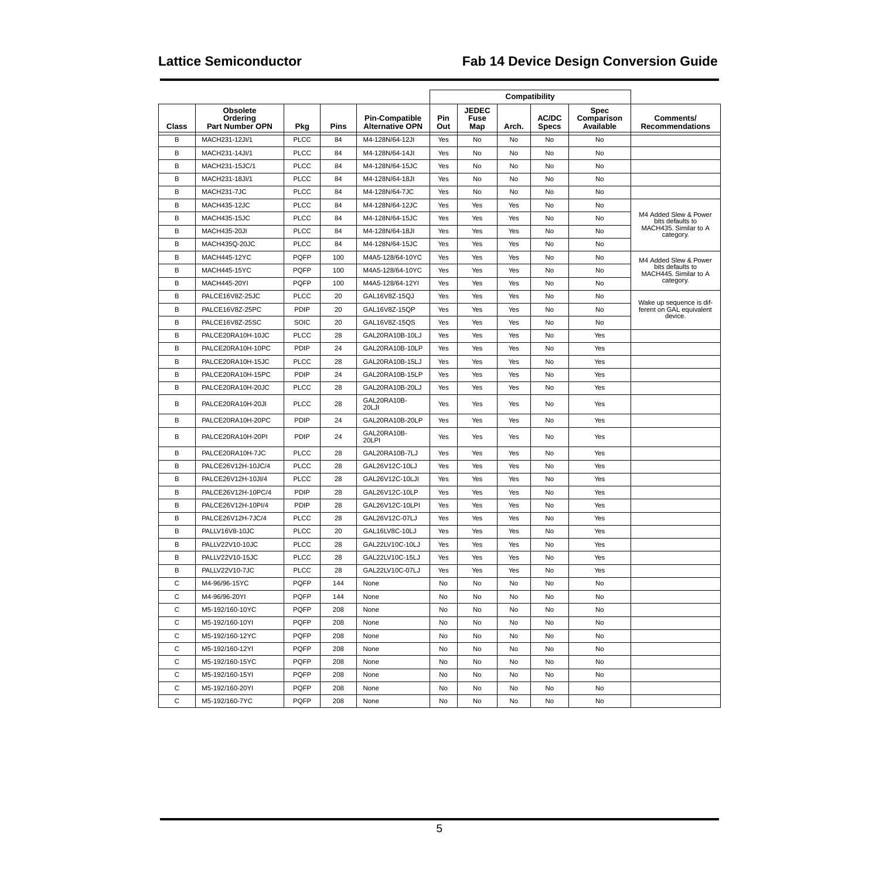|              |                                                       |             |             |                                                 | Compatibility |                             |       |                              |                                        |                                           |
|--------------|-------------------------------------------------------|-------------|-------------|-------------------------------------------------|---------------|-----------------------------|-------|------------------------------|----------------------------------------|-------------------------------------------|
| Class        | <b>Obsolete</b><br>Ordering<br><b>Part Number OPN</b> | Pkg         | <b>Pins</b> | <b>Pin-Compatible</b><br><b>Alternative OPN</b> | Pin<br>Out    | <b>JEDEC</b><br>Fuse<br>Map | Arch. | <b>AC/DC</b><br><b>Specs</b> | <b>Spec</b><br>Comparison<br>Available | Comments/<br><b>Recommendations</b>       |
| B            | MACH231-12JI/1                                        | <b>PLCC</b> | 84          | M4-128N/64-12JI                                 | Yes           | No                          | No    | No                           | No                                     |                                           |
| B            | MACH231-14JI/1                                        | <b>PLCC</b> | 84          | M4-128N/64-14JI                                 | Yes           | No                          | No    | No                           | No                                     |                                           |
| B            | MACH231-15JC/1                                        | <b>PLCC</b> | 84          | M4-128N/64-15JC                                 | Yes           | No                          | No    | No                           | <b>No</b>                              |                                           |
| B            | MACH231-18JI/1                                        | <b>PLCC</b> | 84          | M4-128N/64-18JI                                 | Yes           | No                          | No    | No                           | No                                     |                                           |
| B            | MACH231-7JC                                           | <b>PLCC</b> | 84          | M4-128N/64-7JC                                  | Yes           | No                          | No    | No                           | No                                     |                                           |
| B            | <b>MACH435-12JC</b>                                   | <b>PLCC</b> | 84          | M4-128N/64-12JC                                 | Yes           | Yes                         | Yes   | No                           | No                                     |                                           |
| B            | <b>MACH435-15JC</b>                                   | <b>PLCC</b> | 84          | M4-128N/64-15JC                                 | Yes           | Yes                         | Yes   | No                           | No                                     | M4 Added Slew & Power<br>bits defaults to |
| B            | <b>MACH435-20JI</b>                                   | <b>PLCC</b> | 84          | M4-128N/64-18JI                                 | Yes           | Yes                         | Yes   | No                           | No                                     | MACH435. Similar to A<br>category.        |
| B            | MACH435Q-20JC                                         | <b>PLCC</b> | 84          | M4-128N/64-15JC                                 | Yes           | Yes                         | Yes   | No                           | No                                     |                                           |
| B            | MACH445-12YC                                          | <b>PQFP</b> | 100         | M4A5-128/64-10YC                                | Yes           | Yes                         | Yes   | No                           | No                                     | M4 Added Slew & Power                     |
| B            | MACH445-15YC                                          | <b>PQFP</b> | 100         | M4A5-128/64-10YC                                | Yes           | Yes                         | Yes   | No                           | No                                     | bits defaults to<br>MACH445. Similar to A |
| B            | MACH445-20YI                                          | <b>PQFP</b> | 100         | M4A5-128/64-12YI                                | Yes           | Yes                         | Yes   | No                           | No                                     | category.                                 |
| B            | PALCE16V8Z-25JC                                       | <b>PLCC</b> | 20          | GAL16V8Z-15QJ                                   | Yes           | Yes                         | Yes   | No                           | No                                     | Wake up sequence is dif-                  |
| B            | PALCE16V8Z-25PC                                       | PDIP        | 20          | GAL16V8Z-15QP                                   | Yes           | Yes                         | Yes   | No                           | No                                     | ferent on GAL equivalent<br>device.       |
| B            | PALCE16V8Z-25SC                                       | SOIC        | 20          | GAL16V8Z-15QS                                   | Yes           | Yes                         | Yes   | No                           | No                                     |                                           |
| B            | PALCE20RA10H-10JC                                     | <b>PLCC</b> | 28          | GAL20RA10B-10LJ                                 | Yes           | Yes                         | Yes   | No                           | Yes                                    |                                           |
| B            | PALCE20RA10H-10PC                                     | PDIP        | 24          | GAL20RA10B-10LP                                 | Yes           | Yes                         | Yes   | No                           | Yes                                    |                                           |
| B            | PALCE20RA10H-15JC                                     | <b>PLCC</b> | 28          | GAL20RA10B-15LJ                                 | Yes           | Yes                         | Yes   | No                           | Yes                                    |                                           |
| B            | PALCE20RA10H-15PC                                     | PDIP        | 24          | GAL20RA10B-15LP                                 | Yes           | Yes                         | Yes   | No                           | Yes                                    |                                           |
| B            | PALCE20RA10H-20JC                                     | <b>PLCC</b> | 28          | GAL20RA10B-20LJ                                 | Yes           | Yes                         | Yes   | No                           | Yes                                    |                                           |
| B            | PALCE20RA10H-20JI                                     | <b>PLCC</b> | 28          | GAL20RA10B-<br>20LJI                            | Yes           | Yes                         | Yes   | No                           | Yes                                    |                                           |
| B            | PALCE20RA10H-20PC                                     | PDIP        | 24          | GAL20RA10B-20LP                                 | Yes           | Yes                         | Yes   | No                           | Yes                                    |                                           |
| B            | PALCE20RA10H-20PI                                     | PDIP        | 24          | GAL20RA10B-<br>20LPI                            | Yes           | Yes                         | Yes   | No                           | Yes                                    |                                           |
| B            | PALCE20RA10H-7JC                                      | <b>PLCC</b> | 28          | GAL20RA10B-7LJ                                  | Yes           | Yes                         | Yes   | No                           | Yes                                    |                                           |
| B            | PALCE26V12H-10JC/4                                    | <b>PLCC</b> | 28          | GAL26V12C-10LJ                                  | Yes           | Yes                         | Yes   | No                           | Yes                                    |                                           |
| B            | PALCE26V12H-10JI/4                                    | <b>PLCC</b> | 28          | GAL26V12C-10LJI                                 | Yes           | Yes                         | Yes   | No                           | Yes                                    |                                           |
| B            | PALCE26V12H-10PC/4                                    | PDIP        | 28          | GAL26V12C-10LP                                  | Yes           | Yes                         | Yes   | No                           | Yes                                    |                                           |
| B            | PALCE26V12H-10PI/4                                    | PDIP        | 28          | GAL26V12C-10LPI                                 | Yes           | Yes                         | Yes   | No                           | Yes                                    |                                           |
| B            | PALCE26V12H-7JC/4                                     | <b>PLCC</b> | 28          | GAL26V12C-07LJ                                  | Yes           | Yes                         | Yes   | No                           | Yes                                    |                                           |
| B            | PALLV16V8-10JC                                        | <b>PLCC</b> | 20          | GAL16LV8C-10LJ                                  | Yes           | Yes                         | Yes   | No                           | Yes                                    |                                           |
| B            | PALLV22V10-10JC                                       | <b>PLCC</b> | 28          | GAL22LV10C-10LJ                                 | Yes           | Yes                         | Yes   | No                           | Yes                                    |                                           |
| B            | PALLV22V10-15JC                                       | <b>PLCC</b> | 28          | GAL22LV10C-15LJ                                 | Yes           | Yes                         | Yes   | No                           | Yes                                    |                                           |
| B            | PALLV22V10-7JC                                        | <b>PLCC</b> | 28          | GAL22LV10C-07LJ                                 | Yes           | Yes                         | Yes   | No                           | Yes                                    |                                           |
| $\mathsf{C}$ | M4-96/96-15YC                                         | PQFP        | 144         | None                                            | No            | No                          | No    | No                           | No                                     |                                           |
| C            | M4-96/96-20YI                                         | <b>PQFP</b> | 144         | None                                            | No            | No                          | No    | No                           | No                                     |                                           |
| C            | M5-192/160-10YC                                       | <b>PQFP</b> | 208         | None                                            | No            | No                          | No    | No                           | No                                     |                                           |
| C            | M5-192/160-10YI                                       | <b>PQFP</b> | 208         | None                                            | No            | No                          | No    | No                           | No                                     |                                           |
| C            | M5-192/160-12YC                                       | <b>PQFP</b> | 208         | None                                            | No            | No                          | No    | No                           | No                                     |                                           |
| С            | M5-192/160-12YI                                       | <b>PQFP</b> | 208         | None                                            | No            | No                          | No    | No                           | No                                     |                                           |
| C            | M5-192/160-15YC                                       | <b>PQFP</b> | 208         | None                                            | No            | No                          | No    | No                           | No                                     |                                           |
| C            | M5-192/160-15YI                                       | <b>PQFP</b> | 208         | None                                            | No            | No                          | No    | No                           | No                                     |                                           |
| С            | M5-192/160-20YI                                       | <b>PQFP</b> | 208         | None                                            | No            | No                          | No    | No                           | No                                     |                                           |
| С            | M5-192/160-7YC                                        | <b>PQFP</b> | 208         | None                                            | No            | No                          | No    | No                           | No                                     |                                           |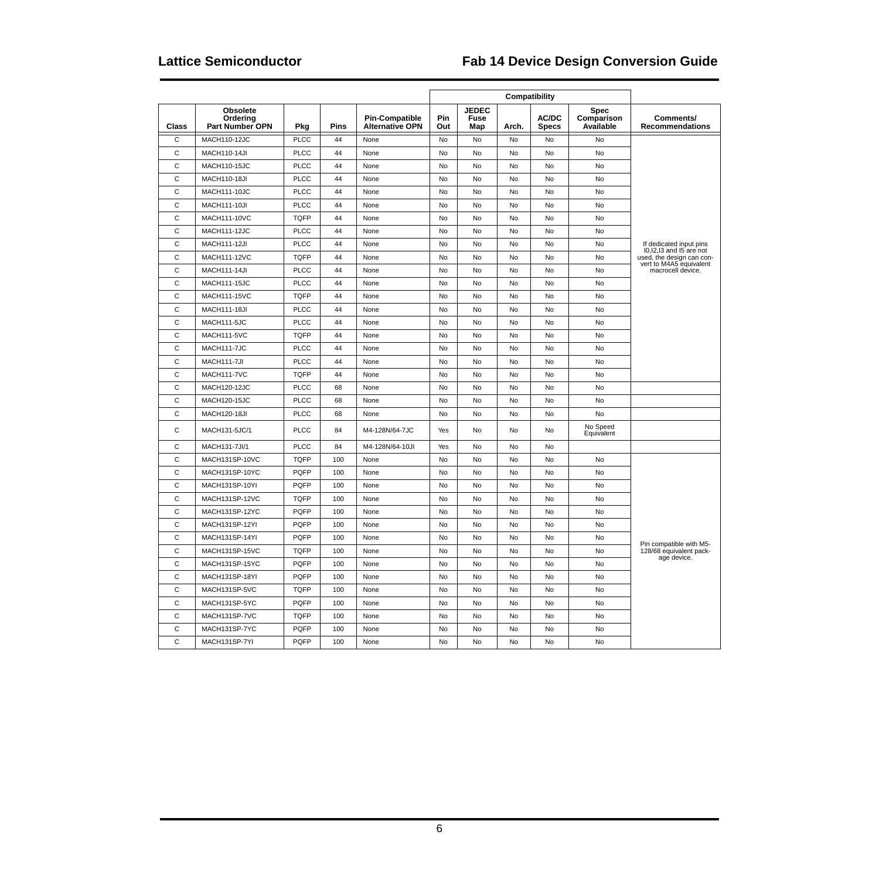| Class          | <b>Obsolete</b><br>Ordering<br><b>Part Number OPN</b> | Pkg         | Pins | <b>Pin-Compatible</b><br><b>Alternative OPN</b> | <b>Pin</b><br>Out | <b>JEDEC</b><br>Fuse<br>Map | Arch.     | <b>AC/DC</b><br><b>Specs</b> | <b>Spec</b><br>Comparison<br>Available | Comments/<br><b>Recommendations</b>                   |
|----------------|-------------------------------------------------------|-------------|------|-------------------------------------------------|-------------------|-----------------------------|-----------|------------------------------|----------------------------------------|-------------------------------------------------------|
| $\overline{c}$ | <b>MACH110-12JC</b>                                   | <b>PLCC</b> | 44   | None                                            | No                | No                          | No        | No                           | <b>No</b>                              |                                                       |
| $\mathsf{C}$   | <b>MACH110-14JI</b>                                   | <b>PLCC</b> | 44   | None                                            | No                | No                          | No        | No                           | No                                     |                                                       |
| $\mathsf{C}$   | <b>MACH110-15JC</b>                                   | <b>PLCC</b> | 44   | None                                            | No                | No                          | No        | No                           | No                                     |                                                       |
| $\mathsf{C}$   | <b>MACH110-18JI</b>                                   | <b>PLCC</b> | 44   | None                                            | No                | No                          | No        | No                           | No                                     |                                                       |
| $\mathsf{C}$   | MACH111-10JC                                          | <b>PLCC</b> | 44   | None                                            | No                | No                          | No        | No                           | No                                     |                                                       |
| C              | <b>MACH111-10JI</b>                                   | <b>PLCC</b> | 44   | None                                            | No                | No                          | No        | No                           | No                                     |                                                       |
| $\mathsf{C}$   | MACH111-10VC                                          | <b>TQFP</b> | 44   | None                                            | No                | No                          | No        | No                           | No                                     |                                                       |
| $\mathsf{C}$   | MACH111-12JC                                          | <b>PLCC</b> | 44   | None                                            | No                | No                          | No        | No                           | No                                     |                                                       |
| $\mathsf{C}$   | <b>MACH111-12JI</b>                                   | <b>PLCC</b> | 44   | None                                            | No                | <b>No</b>                   | <b>No</b> | No                           | <b>No</b>                              | If dedicated input pins                               |
| $\mathsf{C}$   | MACH111-12VC                                          | <b>TQFP</b> | 44   | None                                            | No                | No                          | <b>No</b> | <b>No</b>                    | No                                     | I0, 2, 13 and 15 are not<br>used, the design can con- |
| $\mathsf{C}$   | <b>MACH111-14JI</b>                                   | <b>PLCC</b> | 44   | None                                            | No                | No                          | No        | No                           | No                                     | vert to M4A5 equivalent<br>macrocell device.          |
| $\mathsf{C}$   | MACH111-15JC                                          | <b>PLCC</b> | 44   | None                                            | No                | No                          | <b>No</b> | No                           | No                                     |                                                       |
| $\mathsf{C}$   | <b>MACH111-15VC</b>                                   | <b>TQFP</b> | 44   | None                                            | No                | No                          | No        | No                           | No                                     |                                                       |
| $\mathsf{C}$   | <b>MACH111-18JI</b>                                   | <b>PLCC</b> | 44   | None                                            | No                | No                          | No        | No                           | No                                     |                                                       |
| $\mathsf{C}$   | MACH111-5JC                                           | <b>PLCC</b> | 44   | None                                            | No                | No                          | No        | No                           | No                                     |                                                       |
| $\mathsf{C}$   | MACH111-5VC                                           | <b>TQFP</b> | 44   | None                                            | No                | No                          | No        | No                           | No                                     |                                                       |
| $\mathsf{C}$   | MACH111-7JC                                           | <b>PLCC</b> | 44   | None                                            | No                | No                          | No        | No                           | No                                     |                                                       |
| $\mathsf{C}$   | MACH111-7JI                                           | <b>PLCC</b> | 44   | None                                            | No                | No                          | No        | No                           | No                                     |                                                       |
| C              | MACH111-7VC                                           | <b>TQFP</b> | 44   | None                                            | No                | No                          | No        | No                           | No                                     |                                                       |
| $\mathsf{C}$   | MACH120-12JC                                          | <b>PLCC</b> | 68   | None                                            | No                | No                          | No        | No                           | No                                     |                                                       |
| $\mathsf{C}$   | <b>MACH120-15JC</b>                                   | <b>PLCC</b> | 68   | None                                            | No                | No                          | No        | No                           | No                                     |                                                       |
| C              | <b>MACH120-18JI</b>                                   | <b>PLCC</b> | 68   | None                                            | No                | <b>No</b>                   | <b>No</b> | No                           | <b>No</b>                              |                                                       |
| $\mathsf{C}$   | MACH131-5JC/1                                         | <b>PLCC</b> | 84   | M4-128N/64-7JC                                  | Yes               | No                          | No        | No                           | No Speed<br>Equivalent                 |                                                       |
| $\mathsf{C}$   | MACH131-7JI/1                                         | <b>PLCC</b> | 84   | M4-128N/64-10JI                                 | Yes               | No                          | No        | No                           |                                        |                                                       |
| $\mathsf{C}$   | MACH131SP-10VC                                        | <b>TQFP</b> | 100  | None                                            | No                | No                          | No        | No                           | No                                     |                                                       |
| $\mathsf{C}$   | MACH131SP-10YC                                        | PQFP        | 100  | None                                            | No                | No                          | No        | No                           | No                                     |                                                       |
| $\mathsf C$    | MACH131SP-10YI                                        | PQFP        | 100  | None                                            | No                | No                          | No        | No                           | No                                     |                                                       |
| $\mathsf{C}$   | MACH131SP-12VC                                        | <b>TQFP</b> | 100  | None                                            | No                | No                          | No        | No                           | No                                     |                                                       |
| $\mathsf{C}$   | MACH131SP-12YC                                        | PQFP        | 100  | None                                            | No                | No                          | No        | No                           | No                                     |                                                       |
| $\mathsf{C}$   | MACH131SP-12YI                                        | <b>PQFP</b> | 100  | None                                            | No                | No                          | <b>No</b> | <b>No</b>                    | No                                     |                                                       |
| $\mathsf{C}$   | MACH131SP-14YI                                        | PQFP        | 100  | None                                            | No                | No                          | <b>No</b> | No                           | No                                     | Pin compatible with M5-                               |
| $\mathsf{C}$   | MACH131SP-15VC                                        | <b>TQFP</b> | 100  | None                                            | No                | No                          | No        | No                           | No                                     | 128/68 equivalent pack-<br>age device.                |
| C              | MACH131SP-15YC                                        | <b>PQFP</b> | 100  | None                                            | No                | <b>No</b>                   | No        | No                           | No                                     |                                                       |
| $\mathsf{C}$   | MACH131SP-18YI                                        | <b>PQFP</b> | 100  | None                                            | No                | No                          | No        | No                           | No                                     |                                                       |
| $\mathsf{C}$   | MACH131SP-5VC                                         | <b>TQFP</b> | 100  | None                                            | No                | No                          | <b>No</b> | No                           | <b>No</b>                              |                                                       |
| C              | MACH131SP-5YC                                         | <b>PQFP</b> | 100  | None                                            | No                | No                          | No        | No                           | No                                     |                                                       |
| $\mathsf{C}$   | MACH131SP-7VC                                         | <b>TQFP</b> | 100  | None                                            | No                | No                          | No        | No                           | No                                     |                                                       |
| $\mathsf{C}$   | MACH131SP-7YC                                         | PQFP        | 100  | None                                            | No                | No                          | No        | No                           | No                                     |                                                       |
| $\mathsf{C}$   | MACH131SP-7YI                                         | PQFP        | 100  | None                                            | No                | No                          | No        | No                           | No                                     |                                                       |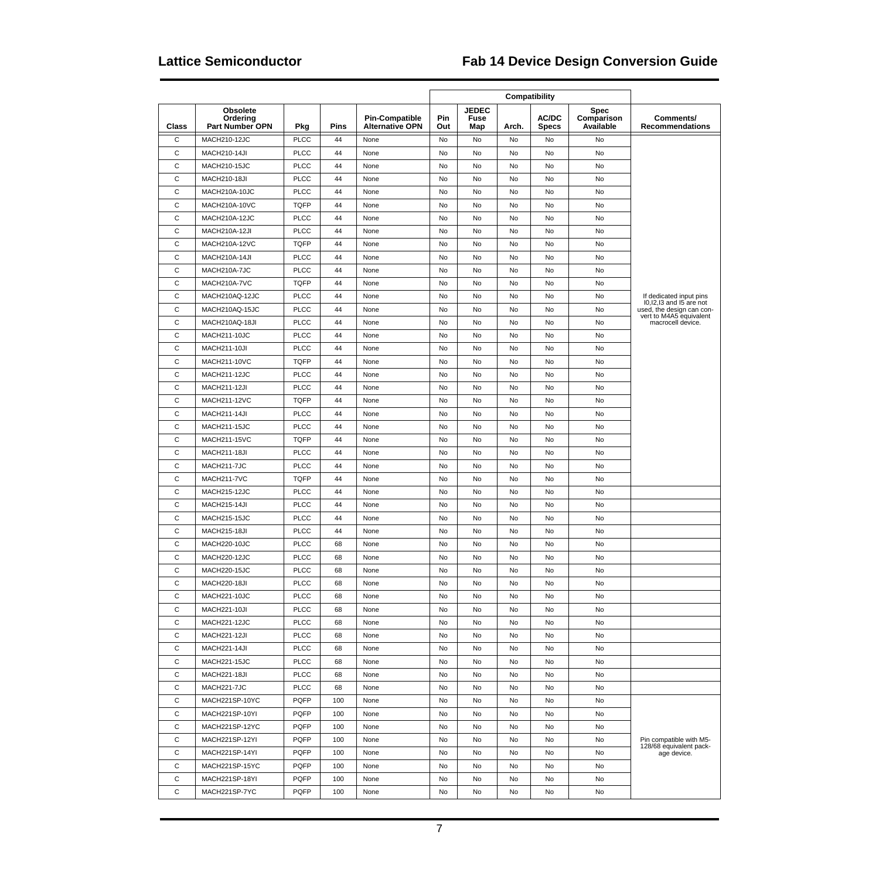| Class        | <b>Obsolete</b><br>Ordering<br><b>Part Number OPN</b> | Pkg         | <b>Pins</b> | <b>Pin-Compatible</b><br><b>Alternative OPN</b> | Pin<br>Out | <b>JEDEC</b><br>Fuse<br>Map | Arch. | <b>AC/DC</b><br><b>Specs</b> | Spec<br>Comparison<br>Available | Comments/<br><b>Recommendations</b>                                          |
|--------------|-------------------------------------------------------|-------------|-------------|-------------------------------------------------|------------|-----------------------------|-------|------------------------------|---------------------------------|------------------------------------------------------------------------------|
| $\mathsf{C}$ | <b>MACH210-12JC</b>                                   | <b>PLCC</b> | 44          | None                                            | No         | No                          | No    | No                           | No                              |                                                                              |
| $\mathsf{C}$ | <b>MACH210-14JI</b>                                   | <b>PLCC</b> | 44          | None                                            | No         | No                          | No    | No                           | No                              |                                                                              |
| C            | <b>MACH210-15JC</b>                                   | <b>PLCC</b> | 44          | None                                            | No         | No                          | No    | No                           | No                              |                                                                              |
| C            | MACH210-18JI                                          | <b>PLCC</b> | 44          | None                                            | No         | No                          | No    | No                           | No                              |                                                                              |
| C            | MACH210A-10JC                                         | <b>PLCC</b> | 44          | None                                            | No         | No                          | No    | No                           | No                              |                                                                              |
| С            | MACH210A-10VC                                         | <b>TQFP</b> | 44          | None                                            | No         | No                          | No    | No                           | No                              |                                                                              |
| $\mathsf{C}$ | MACH210A-12JC                                         | <b>PLCC</b> | 44          | None                                            | No         | No                          | No    | No                           | No                              |                                                                              |
| С            | MACH210A-12JI                                         | <b>PLCC</b> | 44          | None                                            | No         | No                          | No    | No                           | No                              |                                                                              |
| C            | MACH210A-12VC                                         | <b>TQFP</b> | 44          | None                                            | No         | No                          | No    | No                           | No                              |                                                                              |
| C            | MACH210A-14JI                                         | <b>PLCC</b> | 44          | None                                            | No         | No                          | No    | No                           | No                              |                                                                              |
| С            | MACH210A-7JC                                          | <b>PLCC</b> | 44          | None                                            | No         | No                          | No    | No                           | No                              |                                                                              |
| С            | MACH210A-7VC                                          | <b>TQFP</b> | 44          | None                                            | No         | No                          | No    | No                           | No                              |                                                                              |
| C            | MACH210AQ-12JC                                        | <b>PLCC</b> | 44          | None                                            | No         | No                          | No    | No                           | No                              | If dedicated input pins                                                      |
| C            | MACH210AQ-15JC                                        | <b>PLCC</b> | 44          | None                                            | No         | No                          | No    | No                           | No                              | I0, 12, 13 and 15 are not<br>used, the design can convert to M4A5 equivalent |
| С            | MACH210AQ-18JI                                        | <b>PLCC</b> | 44          | None                                            | No         | No                          | No    | No                           | No                              | macrocell device.                                                            |
| C            | MACH211-10JC                                          | <b>PLCC</b> | 44          | None                                            | No         | No                          | No    | No                           | No                              |                                                                              |
| С            | MACH211-10JI                                          | <b>PLCC</b> | 44          | None                                            | No         | No                          | No    | No                           | No                              |                                                                              |
| С            | MACH211-10VC                                          | <b>TQFP</b> | 44          | None                                            | No         | No                          | No    | No                           | No                              |                                                                              |
| $\mathsf{C}$ | MACH211-12JC                                          | <b>PLCC</b> | 44          | None                                            | No         | No                          | No    | No                           | No                              |                                                                              |
| C            | <b>MACH211-12JI</b>                                   | <b>PLCC</b> | 44          | None                                            | No         | No                          | No    | No                           | No                              |                                                                              |
| C            | MACH211-12VC                                          | <b>TQFP</b> | 44          | None                                            | No         | No                          | No    | No                           | No                              |                                                                              |
| C            | <b>MACH211-14JI</b>                                   | <b>PLCC</b> | 44          | None                                            | No         | No                          | No    | No                           | No                              |                                                                              |
| С            | MACH211-15JC                                          | <b>PLCC</b> | 44          | None                                            | No         | No                          | No    | No                           | No                              |                                                                              |
| С            | MACH211-15VC                                          | <b>TQFP</b> | 44          | None                                            | No         | No                          | No    | No                           | No                              |                                                                              |
| $\mathsf C$  | <b>MACH211-18JI</b>                                   | <b>PLCC</b> | 44          | None                                            | No         | No                          | No    | No                           | No                              |                                                                              |
| C            | MACH211-7JC                                           | <b>PLCC</b> | 44          | None                                            | No         | No                          | No    | No                           | No                              |                                                                              |
| C            | <b>MACH211-7VC</b>                                    | <b>TQFP</b> | 44          | None                                            | No         | No                          | No    | No                           | No                              |                                                                              |
| C            | MACH215-12JC                                          | <b>PLCC</b> | 44          | None                                            | No         | No                          | No    | No                           | No                              |                                                                              |
| C            | <b>MACH215-14JI</b>                                   | <b>PLCC</b> | 44          | None                                            | No         | No                          | No    | No                           | No                              |                                                                              |
| С            | MACH215-15JC                                          | <b>PLCC</b> | 44          | None                                            | No         | No                          | No    | No                           | No                              |                                                                              |
| $\mathsf{C}$ | <b>MACH215-18JI</b>                                   | <b>PLCC</b> | 44          | None                                            | No         | No                          | No    | No                           | No                              |                                                                              |
| C            | <b>MACH220-10JC</b>                                   | <b>PLCC</b> | 68          | None                                            | No         | No                          | No    | No                           | No                              |                                                                              |
| C            | <b>MACH220-12JC</b>                                   | <b>PLCC</b> | 68          | None                                            | No         | No                          | No    | No                           | No                              |                                                                              |
| C            | <b>MACH220-15JC</b>                                   | <b>PLCC</b> | 68          | None                                            | No         | No                          | No    | No                           | No                              |                                                                              |
| С            | <b>MACH220-18JI</b>                                   | <b>PLCC</b> | 68          | None                                            | No         | No                          | No    | No                           | No                              |                                                                              |
| С            | <b>MACH221-10JC</b>                                   | <b>PLCC</b> | 68          | None                                            | No         | No                          | No    | No                           | No                              |                                                                              |
| C            | <b>MACH221-10JI</b>                                   | <b>PLCC</b> | 68          | None                                            | No         | No                          | No    | No                           | No                              |                                                                              |
| C            | MACH221-12JC                                          | <b>PLCC</b> | 68          | None                                            | No         | No                          | No    | No                           | No                              |                                                                              |
| С            | <b>MACH221-12JI</b>                                   | <b>PLCC</b> | 68          | None                                            | No         | No                          | No    | No                           | No                              |                                                                              |
| C            | <b>MACH221-14JI</b>                                   | <b>PLCC</b> | 68          | None                                            | No         | No                          | No    | No                           | No                              |                                                                              |
| C            | <b>MACH221-15JC</b>                                   | <b>PLCC</b> | 68          | None                                            | No         | No                          | No    | No                           | No                              |                                                                              |
| С            | <b>MACH221-18JI</b>                                   | <b>PLCC</b> | 68          | None                                            | No         | No                          | No    | No                           | No                              |                                                                              |
| C            | MACH221-7JC                                           | <b>PLCC</b> | 68          | None                                            | No         | No                          | No    | No                           | No                              |                                                                              |
| С            | MACH221SP-10YC                                        | PQFP        | 100         | None                                            | No         | No                          | No    | No                           | No                              |                                                                              |
| C            | MACH221SP-10YI                                        | PQFP        | 100         | None                                            | No         | No                          | No    | No                           | No                              |                                                                              |
| C            | MACH221SP-12YC                                        | <b>PQFP</b> | 100         | None                                            | No         | No                          | No    | No                           | No                              |                                                                              |
| C            | MACH221SP-12YI                                        | <b>PQFP</b> | 100         | None                                            | No         | No                          | No    | No                           | No                              | Pin compatible with M5-                                                      |
| C            | MACH221SP-14YI                                        | <b>PQFP</b> | 100         | None                                            | No         | No                          | No    | No                           | No                              | 128/68 equivalent pack-<br>age device.                                       |
| C            | MACH221SP-15YC                                        | <b>PQFP</b> | 100         | None                                            | No         | No                          | No    | No                           | No                              |                                                                              |
| C            | MACH221SP-18YI                                        | <b>PQFP</b> | 100         | None                                            | No         | No                          | No    | No                           | No                              |                                                                              |
| C            |                                                       |             |             |                                                 |            |                             |       |                              |                                 |                                                                              |
|              | MACH221SP-7YC                                         | PQFP        | 100         | None                                            | No         | No                          | No    | No                           | No                              |                                                                              |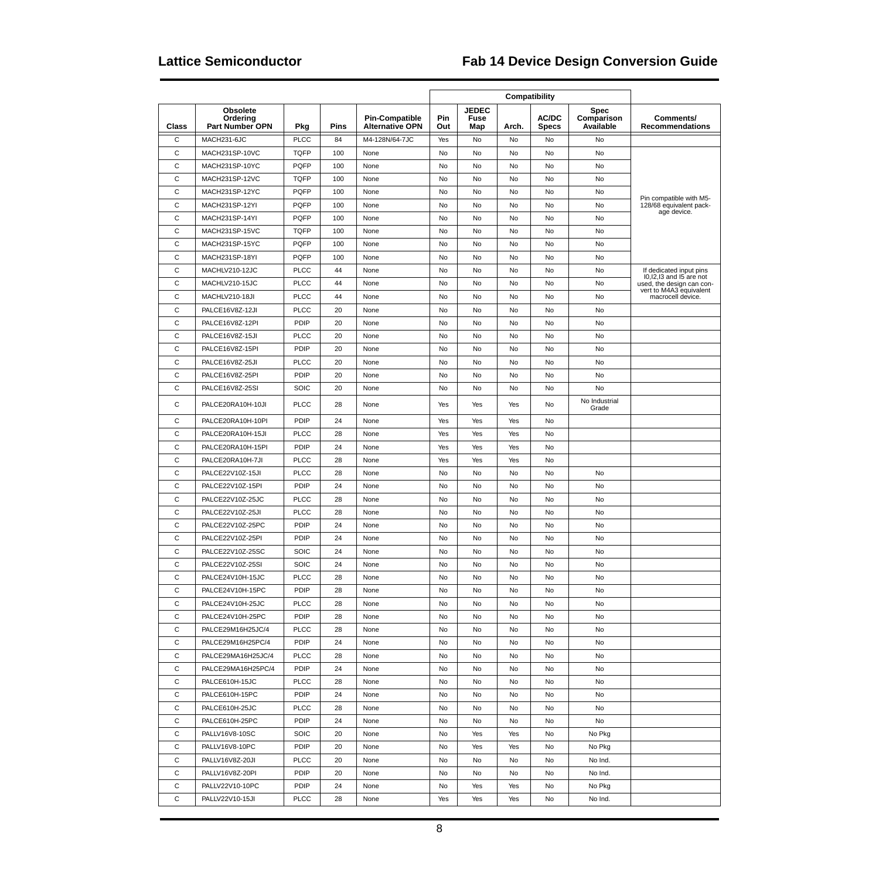|              |                                                       |             |             |                                                 | Compatibility |                                    |       |                       |                                 |                                                          |
|--------------|-------------------------------------------------------|-------------|-------------|-------------------------------------------------|---------------|------------------------------------|-------|-----------------------|---------------------------------|----------------------------------------------------------|
| Class        | <b>Obsolete</b><br>Orderina<br><b>Part Number OPN</b> | Pkg         | <b>Pins</b> | <b>Pin-Compatible</b><br><b>Alternative OPN</b> | Pin<br>Out    | <b>JEDEC</b><br><b>Fuse</b><br>Map | Arch. | AC/DC<br><b>Specs</b> | Spec<br>Comparison<br>Available | Comments/<br><b>Recommendations</b>                      |
| $\mathsf{C}$ | MACH231-6JC                                           | <b>PLCC</b> | 84          | M4-128N/64-7JC                                  | Yes           | No                                 | No    | No                    | No                              |                                                          |
| C            | MACH231SP-10VC                                        | <b>TQFP</b> | 100         | None                                            | No            | No                                 | No    | No                    | No                              |                                                          |
| C            | MACH231SP-10YC                                        | <b>PQFP</b> | 100         | None                                            | No            | No                                 | No    | No                    | No                              |                                                          |
| $\mathsf{C}$ | MACH231SP-12VC                                        | <b>TQFP</b> | 100         | None                                            | No            | No                                 | No    | No                    | No                              |                                                          |
| $\mathsf{C}$ | MACH231SP-12YC                                        | <b>PQFP</b> | 100         | None                                            | No            | No                                 | No    | No                    | No                              |                                                          |
| $\mathsf{C}$ | MACH231SP-12YI                                        | <b>PQFP</b> | 100         | None                                            | No            | No                                 | No    | No                    | No                              | Pin compatible with M5-<br>128/68 equivalent pack-       |
| $\mathsf{C}$ | MACH231SP-14YI                                        | <b>PQFP</b> | 100         | None                                            | No            | No                                 | No    | No                    | No                              | age device.                                              |
| $\mathsf{C}$ | MACH231SP-15VC                                        | <b>TQFP</b> | 100         | None                                            | No            | No                                 | No    | No                    | No                              |                                                          |
| C            | MACH231SP-15YC                                        | <b>PQFP</b> | 100         | None                                            | No            | No                                 | No    | No                    | No                              |                                                          |
| $\mathsf{C}$ | MACH231SP-18YI                                        | <b>PQFP</b> | 100         | None                                            | No            | No                                 | No    | No                    | No                              |                                                          |
| C            | MACHLV210-12JC                                        | <b>PLCC</b> | 44          | None                                            | No            | No                                 | No    | No                    | No                              | If dedicated input pins                                  |
| $\mathsf{C}$ | MACHLV210-15JC                                        | <b>PLCC</b> | 44          | None                                            | No            | No                                 | No    | No                    | No                              | $10,12,13$ and $15$ are not<br>used, the design can con- |
| $\mathsf{C}$ | MACHLV210-18JI                                        | <b>PLCC</b> | 44          | None                                            | No            | No                                 | No    | No                    | No                              | vert to M4A3 equivalent<br>macrocell device.             |
| $\mathsf{C}$ | PALCE16V8Z-12JI                                       | <b>PLCC</b> | 20          | None                                            | No            | No                                 | No    | No                    | No                              |                                                          |
| $\mathsf{C}$ | PALCE16V8Z-12PI                                       | PDIP        | 20          | None                                            | No            | No                                 | No    | No                    | No                              |                                                          |
| C            | PALCE16V8Z-15JI                                       | <b>PLCC</b> | 20          | None                                            | No            | No                                 | No    | No                    | No                              |                                                          |
| C            | PALCE16V8Z-15PI                                       | PDIP        | 20          | None                                            | No            | No                                 | No    | No                    | No                              |                                                          |
| C            | PALCE16V8Z-25JI                                       | <b>PLCC</b> | 20          | None                                            | No            | No                                 | No    | No                    | No                              |                                                          |
| $\mathsf{C}$ | PALCE16V8Z-25PI                                       | PDIP        | 20          | None                                            | No            | No                                 | No    | No                    | No                              |                                                          |
| C            | PALCE16V8Z-25SI                                       | SOIC        | 20          | None                                            | No            | No                                 | No    | No                    | No                              |                                                          |
| $\mathsf{C}$ | PALCE20RA10H-10JI                                     | <b>PLCC</b> | 28          | None                                            | Yes           | Yes                                | Yes   | No                    | No Industrial<br>Grade          |                                                          |
| C            | PALCE20RA10H-10PI                                     | PDIP        | 24          | None                                            | Yes           | Yes                                | Yes   | No                    |                                 |                                                          |
| C            | PALCE20RA10H-15JI                                     | <b>PLCC</b> | 28          | None                                            | Yes           | Yes                                | Yes   | No                    |                                 |                                                          |
| $\mathsf{C}$ | PALCE20RA10H-15PI                                     | PDIP        | 24          | None                                            | Yes           | Yes                                | Yes   | No                    |                                 |                                                          |
| $\mathsf{C}$ | PALCE20RA10H-7JI                                      | <b>PLCC</b> | 28          | None                                            | Yes           | Yes                                | Yes   | No                    |                                 |                                                          |
| $\mathsf{C}$ | PALCE22V10Z-15JI                                      | <b>PLCC</b> | 28          | None                                            | No            | No                                 | No    | No                    | No                              |                                                          |
| $\mathsf{C}$ | PALCE22V10Z-15PI                                      | PDIP        | 24          | None                                            | No            | No                                 | No    | No                    | No                              |                                                          |
| C            | PALCE22V10Z-25JC                                      | <b>PLCC</b> | 28          | None                                            | No            | No                                 | No    | No                    | No                              |                                                          |
| C            | PALCE22V10Z-25JI                                      | <b>PLCC</b> | 28          | None                                            | No            | No                                 | No    | No                    | No                              |                                                          |
| $\mathsf{C}$ | PALCE22V10Z-25PC                                      | PDIP        | 24          | None                                            | No            | No                                 | No    | No                    | No                              |                                                          |
| $\mathsf{C}$ | PALCE22V10Z-25PI                                      | PDIP        | 24          | None                                            | No            | No                                 | No    | No                    | No                              |                                                          |
| $\mathsf{C}$ | PALCE22V10Z-25SC                                      | SOIC        | 24          | None                                            | No            | No                                 | No    | No                    | No                              |                                                          |
| $\mathsf{C}$ | PALCE22V10Z-25SI                                      | <b>SOIC</b> | 24          | None                                            | No            | No                                 | No    | No                    | No                              |                                                          |
| $\mathsf{C}$ | PALCE24V10H-15JC                                      | <b>PLCC</b> | 28          | None                                            | No            | No                                 | No    | No                    | No                              |                                                          |
| С            | PALCE24V10H-15PC                                      | PDIP        | 28          | None                                            | No            | No                                 | No    | No                    | No                              |                                                          |
| $\mathsf{C}$ | PALCE24V10H-25JC                                      | PLCC        | 28          | None                                            | No            | No                                 | No    | No                    | No                              |                                                          |
| C            | PALCE24V10H-25PC                                      | PDIP        | 28          | None                                            | No            | No                                 | No    | No                    | No                              |                                                          |
| $\mathsf{C}$ | PALCE29M16H25JC/4                                     | <b>PLCC</b> | 28          | None                                            | No            | No                                 | No    | No                    | No                              |                                                          |
| $\mathsf{C}$ | PALCE29M16H25PC/4                                     | PDIP        | 24          | None                                            | No            | No                                 | No    | No                    | No                              |                                                          |
| С            | PALCE29MA16H25JC/4                                    | <b>PLCC</b> | 28          | None                                            | No            | No                                 | No    | No                    | No                              |                                                          |
| C            | PALCE29MA16H25PC/4                                    | <b>PDIP</b> | 24          | None                                            | No            | No                                 | No    | No                    | No                              |                                                          |
| С            | PALCE610H-15JC                                        | <b>PLCC</b> | 28          | None                                            | No            | No                                 | No    | No                    | No                              |                                                          |
| C            | PALCE610H-15PC                                        | <b>PDIP</b> | 24          | None                                            | No            | No                                 | No    | No                    | No                              |                                                          |
| С            | PALCE610H-25JC                                        | <b>PLCC</b> | 28          | None                                            | No            | No                                 | No    | No                    | No                              |                                                          |
| C            | PALCE610H-25PC                                        | PDIP        | 24          | None                                            | No            | No                                 | No    | No                    | No                              |                                                          |
| C            | PALLV16V8-10SC                                        | <b>SOIC</b> | 20          | None                                            | No            | Yes                                | Yes   | No                    | No Pkg                          |                                                          |
| С            | PALLV16V8-10PC                                        | PDIP        | 20          | None                                            | No            | Yes                                | Yes   | No                    | No Pkg                          |                                                          |
| C            | PALLV16V8Z-20JI                                       | <b>PLCC</b> | 20          | None                                            | No            | No                                 | No    | No                    | No Ind.                         |                                                          |
| С            | PALLV16V8Z-20PI                                       | <b>PDIP</b> | 20          | None                                            | No            | No                                 | No    | No                    | No Ind.                         |                                                          |
| C            | PALLV22V10-10PC                                       | <b>PDIP</b> | 24          | None                                            | No            | Yes                                | Yes   | No                    | No Pkg                          |                                                          |
| C            | PALLV22V10-15JI                                       | <b>PLCC</b> | 28          | None                                            | Yes           | Yes                                | Yes   | No                    | No Ind.                         |                                                          |
|              |                                                       |             |             |                                                 |               |                                    |       |                       |                                 |                                                          |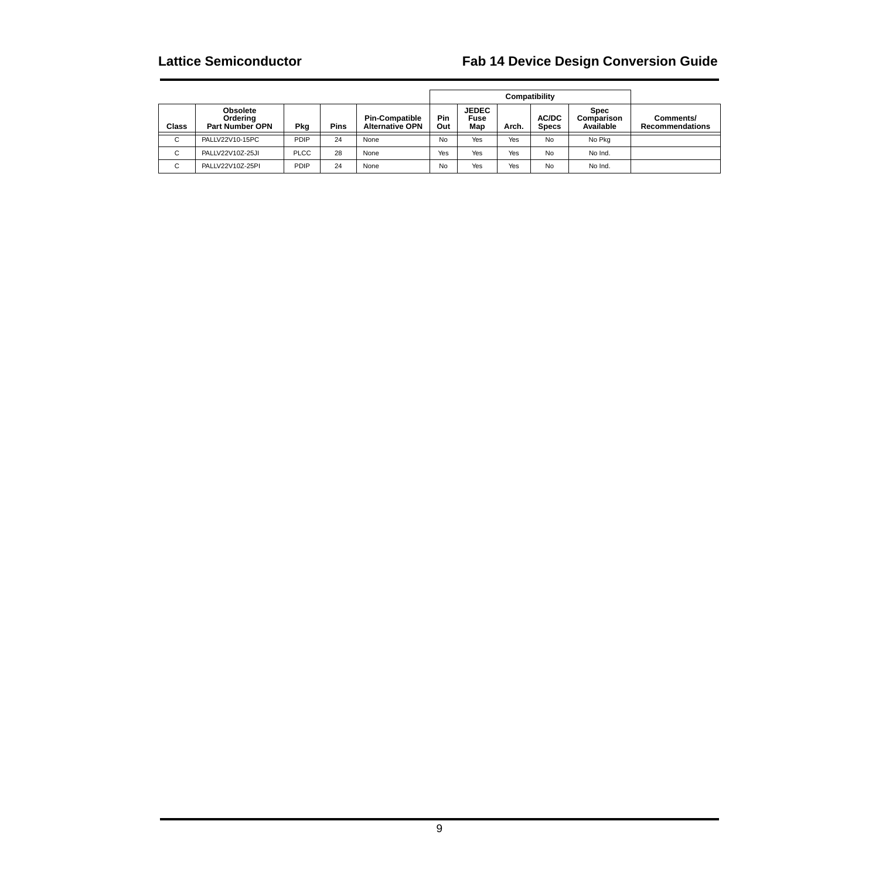|             |                                                       |             | Compatibility |                                                 |            |                             |       |                       |                                        |                                     |
|-------------|-------------------------------------------------------|-------------|---------------|-------------------------------------------------|------------|-----------------------------|-------|-----------------------|----------------------------------------|-------------------------------------|
| Class       | <b>Obsolete</b><br>Ordering<br><b>Part Number OPN</b> | Pkg         | <b>Pins</b>   | <b>Pin-Compatible</b><br><b>Alternative OPN</b> | Pin<br>Out | <b>JEDEC</b><br>Fuse<br>Map | Arch. | AC/DC<br><b>Specs</b> | <b>Spec</b><br>Comparison<br>Available | Comments/<br><b>Recommendations</b> |
| $\sim$<br>◡ | PALLV22V10-15PC                                       | PDIP        | 24            | None                                            | No         | Yes                         | Yes   | No                    | No Pkg                                 |                                     |
| $\sim$<br>◡ | PALLV22V10Z-25JI                                      | <b>PLCC</b> | 28            | None                                            | Yes        | Yes                         | Yes   | No                    | No Ind.                                |                                     |
| $\sim$<br>◡ | PALLV22V10Z-25PI                                      | <b>PDIP</b> | 24            | None                                            | No         | Yes                         | Yes   | No                    | No Ind.                                |                                     |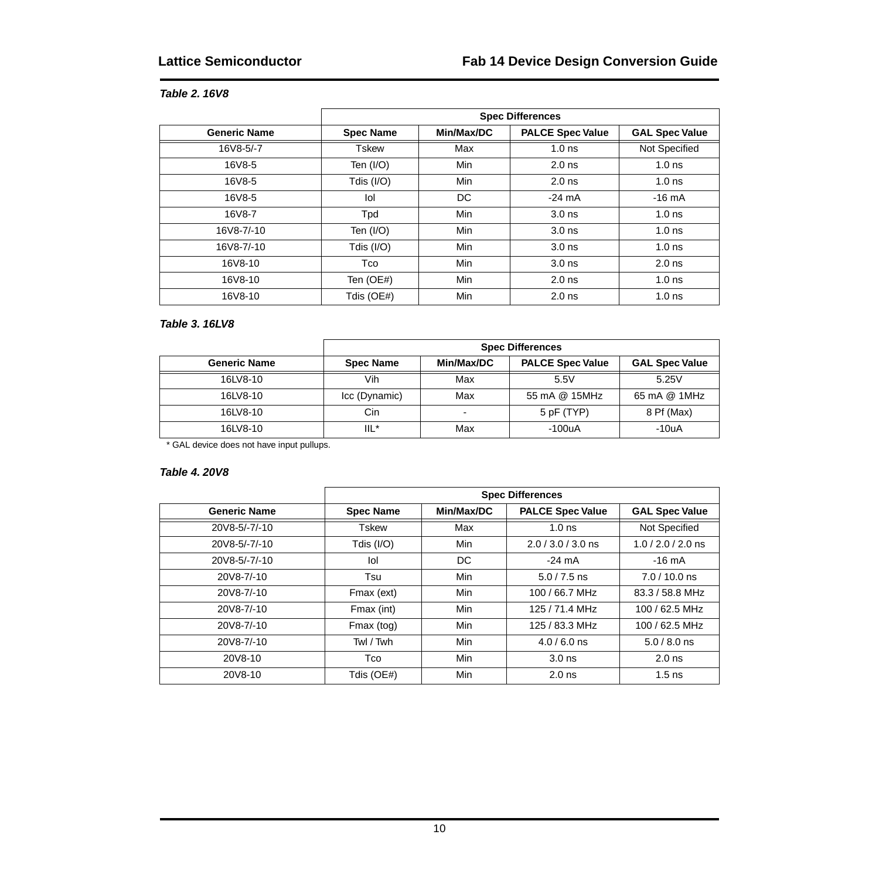### **Table 2. 16V8**

|                     |                  |            | <b>Spec Differences</b> |                       |
|---------------------|------------------|------------|-------------------------|-----------------------|
| <b>Generic Name</b> | <b>Spec Name</b> | Min/Max/DC | <b>PALCE Spec Value</b> | <b>GAL Spec Value</b> |
| 16V8-5/-7           | Tskew            | Max        | 1.0 <sub>ns</sub>       | Not Specified         |
| 16V8-5              | Ten (I/O)        | Min        | $2.0$ ns                | 1.0 <sub>ns</sub>     |
| 16V8-5              | Tdis (I/O)       | Min        | $2.0$ ns                | 1.0 <sub>ns</sub>     |
| 16V8-5              | lol              | DC.        | $-24 \text{ mA}$        | $-16 \text{ mA}$      |
| 16V8-7              | Tpd              | Min        | 3.0 <sub>ns</sub>       | 1.0 <sub>ns</sub>     |
| 16V8-7/-10          | Ten $(I/O)$      | Min        | 3.0 <sub>ns</sub>       | 1.0 <sub>ns</sub>     |
| 16V8-7/-10          | Tdis $(I/O)$     | Min        | 3.0 <sub>ns</sub>       | 1.0 <sub>ns</sub>     |
| 16V8-10             | <b>Tco</b>       | Min        | 3.0 <sub>ns</sub>       | $2.0$ ns              |
| 16V8-10             | Ten (OE#)        | Min        | $2.0$ ns                | 1.0 <sub>ns</sub>     |
| 16V8-10             | Tdis (OE#)       | Min        | $2.0$ ns                | 1.0 <sub>ns</sub>     |

### **Table 3. 16LV8**

|                     | <b>Spec Differences</b> |            |                         |                       |  |  |  |  |  |
|---------------------|-------------------------|------------|-------------------------|-----------------------|--|--|--|--|--|
| <b>Generic Name</b> | <b>Spec Name</b>        | Min/Max/DC | <b>PALCE Spec Value</b> | <b>GAL Spec Value</b> |  |  |  |  |  |
| 16LV8-10            | Vih                     | Max        | 5.5V                    | 5.25V                 |  |  |  |  |  |
| 16LV8-10            | Icc (Dynamic)           | Max        | 55 mA @ 15MHz           | 65 mA @ 1MHz          |  |  |  |  |  |
| 16LV8-10            | Cin                     | -          | 5 pF (TYP)              | 8 Pf (Max)            |  |  |  |  |  |
| 16LV8-10            | IIL*                    | Max        | $-100uA$                | $-10uA$               |  |  |  |  |  |

\* GAL device does not have input pullups.

### **Table 4. 20V8**

|                     |                  |            | <b>Spec Differences</b> |                       |
|---------------------|------------------|------------|-------------------------|-----------------------|
| <b>Generic Name</b> | <b>Spec Name</b> | Min/Max/DC | <b>PALCE Spec Value</b> | <b>GAL Spec Value</b> |
| 20V8-5/-7/-10       | <b>Tskew</b>     | Max        | 1.0 <sub>ns</sub>       | Not Specified         |
| 20V8-5/-7/-10       | Tdis (I/O)       | Min        | $2.0 / 3.0 / 3.0$ ns    | $1.0 / 2.0 / 2.0$ ns  |
| 20V8-5/-7/-10       | lol              | DC.        | $-24 \text{ mA}$        | $-16 \text{ mA}$      |
| 20V8-7/-10          | Tsu              | Min        | $5.0 / 7.5$ ns          | $7.0 / 10.0$ ns       |
| 20V8-7/-10          | Fmax (ext)       | Min        | 100 / 66.7 MHz          | 83.3 / 58.8 MHz       |
| 20V8-7/-10          | Fmax (int)       | Min        | 125 / 71.4 MHz          | 100 / 62.5 MHz        |
| 20V8-7/-10          | Fmax (tog)       | Min        | 125 / 83.3 MHz          | 100 / 62.5 MHz        |
| 20V8-7/-10          | Twl / Twh        | Min        | $4.0 / 6.0$ ns          | $5.0 / 8.0$ ns        |
| 20V8-10             | Tco              | Min        | 3.0 <sub>ns</sub>       | $2.0$ ns              |
| 20V8-10             | Tdis (OE#)       | Min        | $2.0$ ns                | $1.5$ ns              |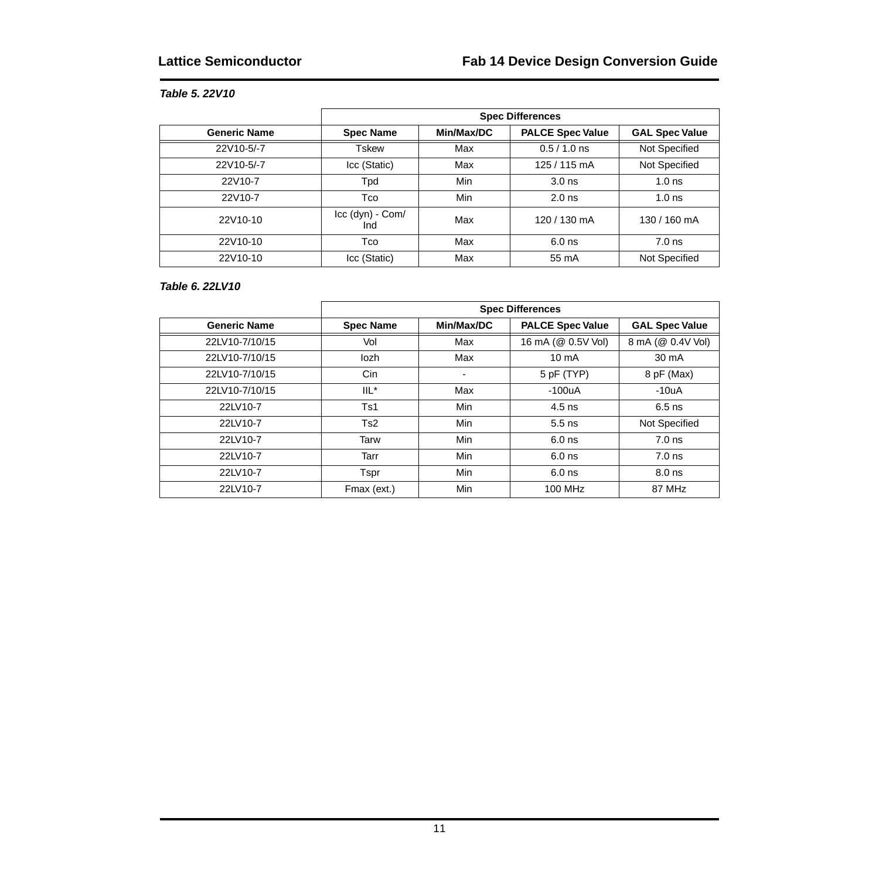### **Table 5. 22V10**

|                     |                         |            | <b>Spec Differences</b> |                       |
|---------------------|-------------------------|------------|-------------------------|-----------------------|
| <b>Generic Name</b> | <b>Spec Name</b>        | Min/Max/DC | <b>PALCE Spec Value</b> | <b>GAL Spec Value</b> |
| 22V10-5/-7          | Tskew                   | Max        | $0.5 / 1.0$ ns          | Not Specified         |
| 22V10-5/-7          | Icc (Static)            | Max        | 125 / 115 mA            | Not Specified         |
| 22V10-7             | Tpd                     | Min        | 3.0 <sub>ns</sub>       | 1.0 <sub>ns</sub>     |
| 22V10-7             | Tco                     | Min        | $2.0$ ns                | 1.0 <sub>ns</sub>     |
| 22V10-10            | Icc (dyn) - Com/<br>Ind | Max        | 120 / 130 mA            | 130 / 160 mA          |
| 22V10-10            | Tco                     | Max        | $6.0$ ns                | $7.0$ ns              |
| 22V10-10            | Icc (Static)            | Max        | 55 mA                   | Not Specified         |

### **Table 6. 22LV10**

|                     | <b>Spec Differences</b> |            |                         |                       |  |
|---------------------|-------------------------|------------|-------------------------|-----------------------|--|
| <b>Generic Name</b> | <b>Spec Name</b>        | Min/Max/DC | <b>PALCE Spec Value</b> | <b>GAL Spec Value</b> |  |
| 22LV10-7/10/15      | Vol                     | Max        | 16 mA (@ 0.5V Vol)      | 8 mA (@ 0.4V Vol)     |  |
| 22LV10-7/10/15      | lozh                    | Max        | $10 \text{ mA}$         | 30 mA                 |  |
| 22LV10-7/10/15      | Cin                     |            | 5 pF (TYP)              | 8 pF (Max)            |  |
| 22LV10-7/10/15      | $IL^*$                  | Max        | $-100uA$                | $-10uA$               |  |
| 22LV10-7            | Ts1                     | Min        | $4.5$ ns                | $6.5$ ns              |  |
| 22LV10-7            | Ts2                     | Min        | $5.5$ ns                | Not Specified         |  |
| 22LV10-7            | Tarw                    | Min        | $6.0$ ns                | $7.0$ ns              |  |
| 22LV10-7            | Tarr                    | Min        | $6.0$ ns                | $7.0$ ns              |  |
| 22LV10-7            | Tspr                    | Min        | $6.0$ ns                | $8.0$ ns              |  |
| 22LV10-7            | Fmax (ext.)             | Min        | 100 MHz                 | 87 MHz                |  |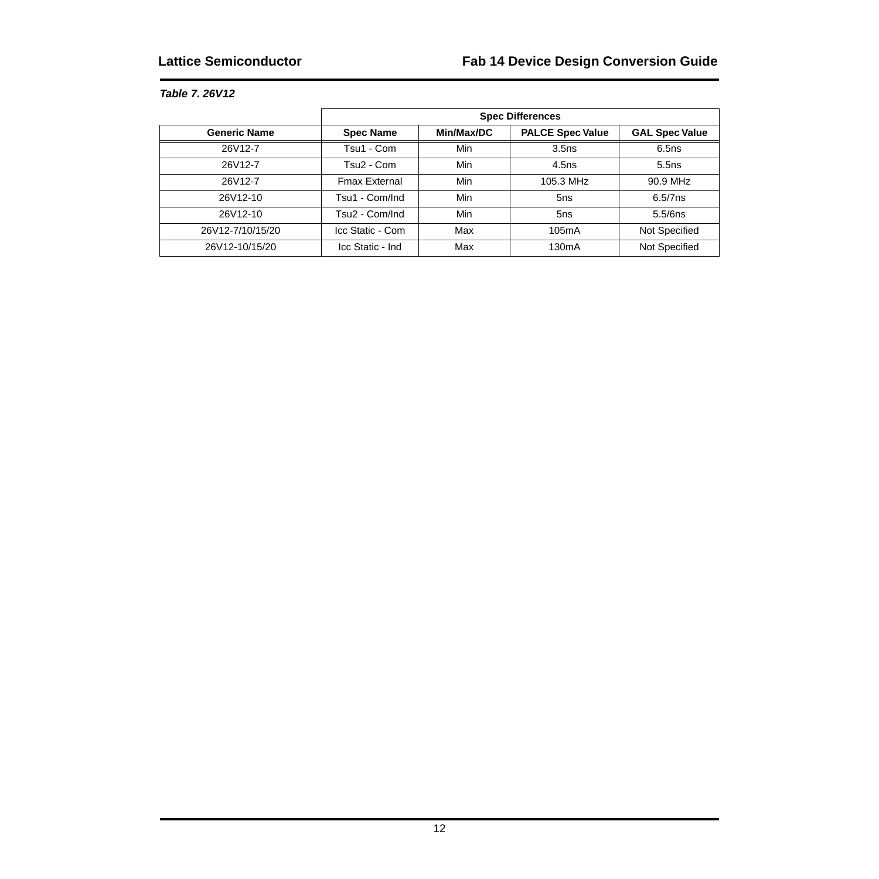### **Table 7. 26V12**

|                     | <b>Spec Differences</b> |            |                         |                       |  |
|---------------------|-------------------------|------------|-------------------------|-----------------------|--|
| <b>Generic Name</b> | <b>Spec Name</b>        | Min/Max/DC | <b>PALCE Spec Value</b> | <b>GAL Spec Value</b> |  |
| 26V12-7             | Tsu1 - Com              | Min        | 3.5 <sub>ns</sub>       | 6.5ns                 |  |
| 26V12-7             | Tsu2 - Com              | Min        | 4.5ns                   | 5.5ns                 |  |
| 26V12-7             | <b>Fmax External</b>    | Min        | 105.3 MHz               | 90.9 MHz              |  |
| 26V12-10            | Tsu1 - Com/Ind          | Min        | 5ns                     | $6.5/7$ ns            |  |
| 26V12-10            | Tsu2 - Com/Ind          | Min        | 5ns                     | 5.5/6ns               |  |
| 26V12-7/10/15/20    | Icc Static - Com        | Max        | 105mA                   | Not Specified         |  |
| 26V12-10/15/20      | Icc Static - Ind        | Max        | 130 <sub>m</sub> A      | Not Specified         |  |